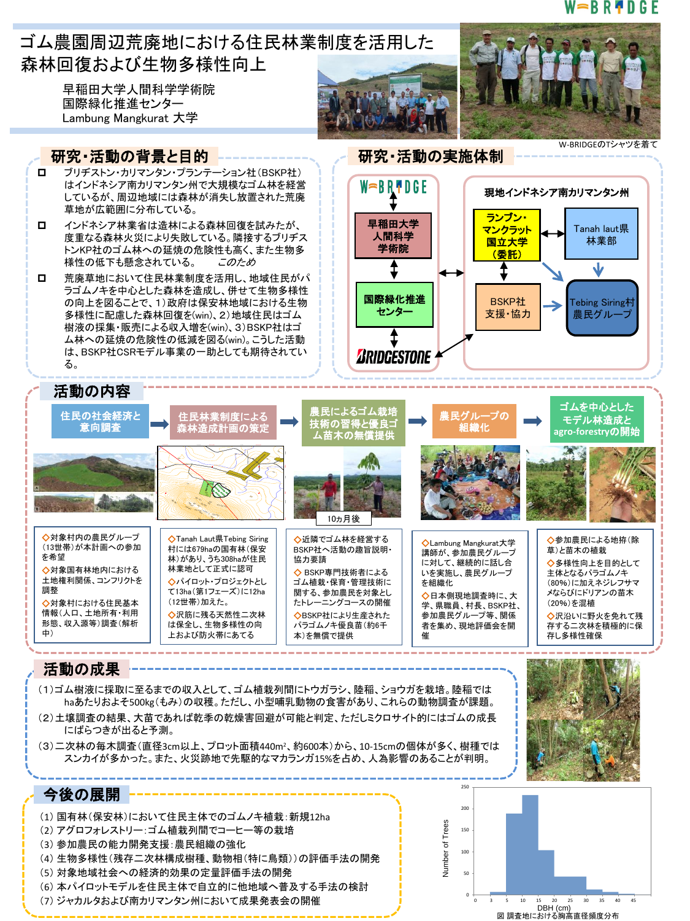#### W⇒BR¶DGE

Tebing Siring村 農民グルー

ゴムを中心とした モデル林造成と **agro-forestry**の開始

Tanah laut県 林業部

Jz

W-BRIDGEのTシャツを着て

現地インドネシア南カリマンタン州



早稲田大学人間科学学術院 国際緑化推進センター Lambung Mangkurat 大学



# 研究・活動の背景と目的 ------------- 。 石研究・活動の実施体制

- ブリヂストン・カリマンタン・プランテーション社(BSKP社) はインドネシア南カリマンタン州で大規模なゴム林を経営 しているが、周辺地域には森林が消失し放置された荒廃 草地が広範囲に分布している。
- インドネシア林業省は造林による森林回復を試みたが、 度重なる森林火災により失敗している。隣接するブリヂス トンKP社のゴム林への延焼の危険性も高く、また生物多 様性の低下も懸念されている。 *このため*
- □ 荒廃草地において住民林業制度を活用し、地域住民がパ ラゴムノキを中心とした森林を造成し、併せて生物多様性 の向上を図ることで、1)政府は保安林地域における生物 多様性に配慮した森林回復を(win)、2)地域住民はゴム 樹液の採集・販売による収入増を(win)、3)BSKP社はゴ ム林への延焼の危険性の低減を図る(win)。こうした活動 は、BSKP社CSRモデル事業の一助としても期待されてい る。



 $W = B R \cdot 0 G E$ 

*ARIDGESTONE* 

#### 活動の内容 住民の社会経済と 住民林業制度による



- ◇対象村内の農民グループ (13世帯)が本計画への参加 ◇対象国有林地内における 土地権利関係、コンフリクトを ◇対象村における住民基本 情報(人口、土地所有・利用 形態、収入源等)調査(解析 (12世帯)加えた。
- ◇Tanah Laut県Tebing Siring 村には679haの国有林(保安 林)があり、うち308haが住民 林業地として正式に認可 ◇パイロット・プロジェクトとし て13ha(第1フェーズ)に12ha ◇沢筋に残る天然性二次林 は保全し、生物多様性の向 BSKP社へ活動の趣旨説明・ 協力要請 ◇ BSKP専門技術者による ゴム植栽・保育・管理技術に 関する、参加農民を対象とし たトレーニングコースの開催 ◇BSKP社により生産された パラゴムノキ優良苗(約6千 257742 <sup>0040959</sup>

**04.00 Million** 

40

KINTAP BATU AMPAR TAK ISUNG

40

*LAUT AJ WA*

258741

*<sup>114</sup> 49'30*

259740

*<sup>114</sup> <sup>50</sup> '30*

Tang gal Pem bu ata n: Sa btu , 1 5D esem be r 201 2

*114°50'*

上および防火帯にあてる



農民によるゴム栽培

◇近隣でゴム林を経営する

本)を無償で提供



農民グループの 組織化

◇Lambung Mangkurat大学 講師が、参加農民グループ に対して、継続的に話し合 いを実施し、農民グループ を組織化 ◇日本側現地調査時に、大 学、県職員、村長、BSKP社、 参加農民グループ等、関係 者を集め、現地評価会を開 催 ◆参加農民による地拵(除 草)と苗木の植栽 ◇多様性向上を目的として 主体となるパラゴムノキ (80%)に加えネジレフサマ メならびにドリアンの苗木 (20%)を混植 ◇沢沿いに野火を免れて残 存する二次林を積極的に保 存し多様性確保

### 活動の成果

を希望

調整

中)

- (1)ゴム樹液に採取に至るまでの収入として、ゴム植栽列間にトウガラシ、陸稲、ショウガを栽培。陸稲では haあたりおよそ500kg(もみ)の収穫。ただし、小型哺乳動物の食害があり、これらの動物調査が課題。 (2)土壌調査の結果、大苗であれば乾季の乾燥害回避が可能と判定、ただしミクロサイト的にはゴムの成長 にばらつきが出ると予測。
- (3)二次林の毎木調査(直径3cm以上、プロット面積440m2、約600本)から、10-15cmの個体が多く、樹種では スンカイが多かった。また、火災跡地で先駆的なマカランガ15%を占め、人為影響のあることが判明。



## 今後の展開

- (1) 国有林(保安林)において住民主体でのゴムノキ植栽:新規12ha
- (2) アグロフォレストリー:ゴム植栽列間でコーヒー等の栽培
- (3) 参加農民の能力開発支援:農民組織の強化
- (4) 生物多様性(残存二次林構成樹種、動物相(特に鳥類))の評価手法の開発
- (5) 対象地域社会への経済的効果の定量評価手法の開発
- (6) 本パイロットモデルを住民主体で自立的に他地域へ普及する手法の検討
- (7) ジャカルタおよび南カリマンタン州において成果発表会の開催